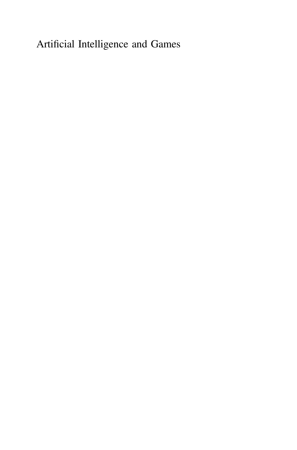Artificial Intelligence and Games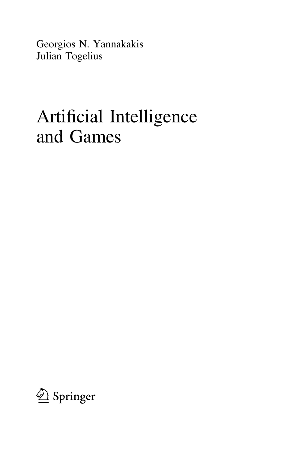Georgios N. Yannakakis Julian Togelius

# Artificial Intelligence and Games

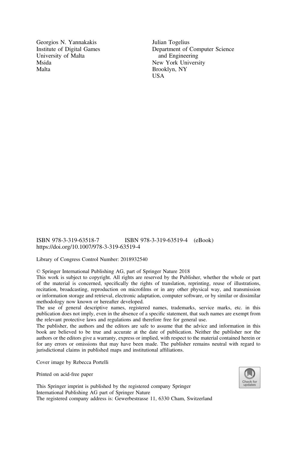Georgios N. Yannakakis Institute of Digital Games University of Malta Msida Malta

Julian Togelius Department of Computer Science and Engineering New York University Brooklyn, NY USA

ISBN 978-3-319-63518-7 ISBN 978-3-319-63519-4 (eBook) https://doi.org/10.1007/978-3-319-63519-4

Library of Congress Control Number: 2018932540

© Springer International Publishing AG, part of Springer Nature 2018

This work is subject to copyright. All rights are reserved by the Publisher, whether the whole or part of the material is concerned, specifically the rights of translation, reprinting, reuse of illustrations, recitation, broadcasting, reproduction on microfilms or in any other physical way, and transmission or information storage and retrieval, electronic adaptation, computer software, or by similar or dissimilar methodology now known or hereafter developed.

The use of general descriptive names, registered names, trademarks, service marks, etc. in this publication does not imply, even in the absence of a specific statement, that such names are exempt from the relevant protective laws and regulations and therefore free for general use.

The publisher, the authors and the editors are safe to assume that the advice and information in this book are believed to be true and accurate at the date of publication. Neither the publisher nor the authors or the editors give a warranty, express or implied, with respect to the material contained herein or for any errors or omissions that may have been made. The publisher remains neutral with regard to jurisdictional claims in published maps and institutional affiliations.

Cover image by Rebecca Portelli

Printed on acid-free paper

This Springer imprint is published by the registered company Springer International Publishing AG part of Springer Nature The registered company address is: Gewerbestrasse 11, 6330 Cham, Switzerland

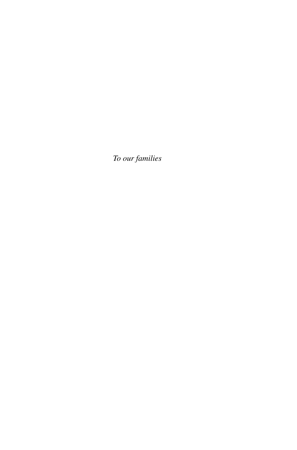*To our families*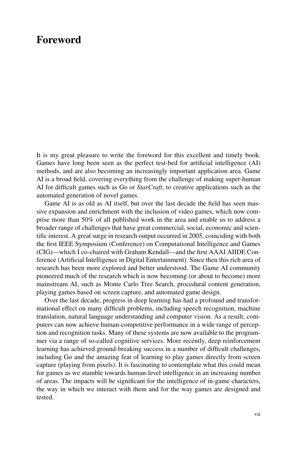#### Foreword

It is my great pleasure to write the foreword for this excellent and timely book. Games have long been seen as the perfect test-bed for artificial intelligence (AI) methods, and are also becoming an increasingly important application area. Game AI is a broad field, covering everything from the challenge of making super-human AI for difficult games such as Go or *StarCraft*, to creative applications such as the automated generation of novel games.

Game AI is as old as AI itself, but over the last decade the field has seen massive expansion and enrichment with the inclusion of video games, which now comprise more than 50% of all published work in the area and enable us to address a broader range of challenges that have great commercial, social, economic and scientific interest. A great surge in research output occurred in 2005, coinciding with both the first IEEE Symposium (Conference) on Computational Intelligence and Games (CIG)—which I co-chaired with Graham Kendall—and the first AAAI AIIDE Conference (Artificial Intelligence in Digital Entertainment). Since then this rich area of research has been more explored and better understood. The Game AI community pioneered much of the research which is now becoming (or about to become) more mainstream AI, such as Monte Carlo Tree Search, procedural content generation, playing games based on screen capture, and automated game design.

Over the last decade, progress in deep learning has had a profound and transformational effect on many difficult problems, including speech recognition, machine translation, natural language understanding and computer vision. As a result, computers can now achieve human-competitive performance in a wide range of perception and recognition tasks. Many of these systems are now available to the programmer via a range of so-called cognitive services. More recently, deep reinforcement learning has achieved ground-breaking success in a number of difficult challenges, including Go and the amazing feat of learning to play games directly from screen capture (playing from pixels). It is fascinating to contemplate what this could mean for games as we stumble towards human-level intelligence in an increasing number of areas. The impacts will be significant for the intelligence of in-game characters, the way in which we interact with them and for the way games are designed and tested.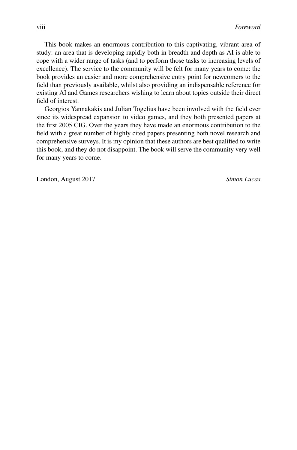This book makes an enormous contribution to this captivating, vibrant area of study: an area that is developing rapidly both in breadth and depth as AI is able to cope with a wider range of tasks (and to perform those tasks to increasing levels of excellence). The service to the community will be felt for many years to come: the book provides an easier and more comprehensive entry point for newcomers to the field than previously available, whilst also providing an indispensable reference for existing AI and Games researchers wishing to learn about topics outside their direct field of interest.

Georgios Yannakakis and Julian Togelius have been involved with the field ever since its widespread expansion to video games, and they both presented papers at the first 2005 CIG. Over the years they have made an enormous contribution to the field with a great number of highly cited papers presenting both novel research and comprehensive surveys. It is my opinion that these authors are best qualified to write this book, and they do not disappoint. The book will serve the community very well for many years to come.

London, August 2017 *Simon Lucas*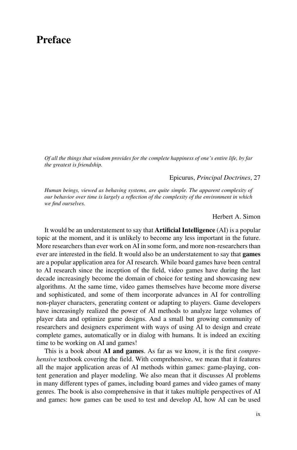#### Preface

*Of all the things that wisdom provides for the complete happiness of one's entire life, by far the greatest is friendship.*

Epicurus, *Principal Doctrines*, 27

*Human beings, viewed as behaving systems, are quite simple. The apparent complexity of our behavior over time is largely a reflection of the complexity of the environment in which we find ourselves.*

Herbert A. Simon

It would be an understatement to say that Artificial Intelligence (AI) is a popular topic at the moment, and it is unlikely to become any less important in the future. More researchers than ever work on AI in some form, and more non-researchers than ever are interested in the field. It would also be an understatement to say that games are a popular application area for AI research. While board games have been central to AI research since the inception of the field, video games have during the last decade increasingly become the domain of choice for testing and showcasing new algorithms. At the same time, video games themselves have become more diverse and sophisticated, and some of them incorporate advances in AI for controlling non-player characters, generating content or adapting to players. Game developers have increasingly realized the power of AI methods to analyze large volumes of player data and optimize game designs. And a small but growing community of researchers and designers experiment with ways of using AI to design and create complete games, automatically or in dialog with humans. It is indeed an exciting time to be working on AI and games!

This is a book about AI and games. As far as we know, it is the first *comprehensive* textbook covering the field. With comprehensive, we mean that it features all the major application areas of AI methods within games: game-playing, content generation and player modeling. We also mean that it discusses AI problems in many different types of games, including board games and video games of many genres. The book is also comprehensive in that it takes multiple perspectives of AI and games: how games can be used to test and develop AI, how AI can be used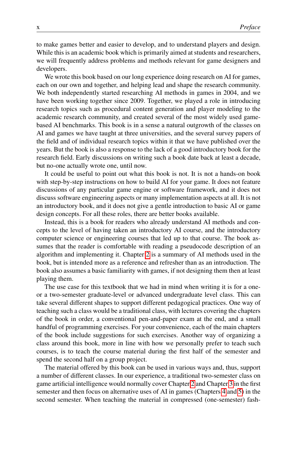to make games better and easier to develop, and to understand players and design. While this is an academic book which is primarily aimed at students and researchers, we will frequently address problems and methods relevant for game designers and developers.

We wrote this book based on our long experience doing research on AI for games, each on our own and together, and helping lead and shape the research community. We both independently started researching AI methods in games in 2004, and we have been working together since 2009. Together, we played a role in introducing research topics such as procedural content generation and player modeling to the academic research community, and created several of the most widely used gamebased AI benchmarks. This book is in a sense a natural outgrowth of the classes on AI and games we have taught at three universities, and the several survey papers of the field and of individual research topics within it that we have published over the years. But the book is also a response to the lack of a good introductory book for the research field. Early discussions on writing such a book date back at least a decade, but no-one actually wrote one, until now.

It could be useful to point out what this book is not. It is not a hands-on book with step-by-step instructions on how to build AI for your game. It does not feature discussions of any particular game engine or software framework, and it does not discuss software engineering aspects or many implementation aspects at all. It is not an introductory book, and it does not give a gentle introduction to basic AI or game design concepts. For all these roles, there are better books available.

Instead, this is a book for readers who already understand AI methods and concepts to the level of having taken an introductory AI course, and the introductory computer science or engineering courses that led up to that course. The book assumes that the reader is comfortable with reading a pseudocode description of an algorithm and implementing it. Chapter [2](#page--1-0) is a summary of AI methods used in the book, but is intended more as a reference and refresher than as an introduction. The book also assumes a basic familiarity with games, if not designing them then at least playing them.

The use case for this textbook that we had in mind when writing it is for a oneor a two-semester graduate-level or advanced undergraduate level class. This can take several different shapes to support different pedagogical practices. One way of teaching such a class would be a traditional class, with lectures covering the chapters of the book in order, a conventional pen-and-paper exam at the end, and a small handful of programming exercises. For your convenience, each of the main chapters of the book include suggestions for such exercises. Another way of organizing a class around this book, more in line with how we personally prefer to teach such courses, is to teach the course material during the first half of the semester and spend the second half on a group project.

The material offered by this book can be used in various ways and, thus, support a number of different classes. In our experience, a traditional two-semester class on game artificial intelligence would normally cover Chapter [2](#page--1-0) and Chapter [3](#page--1-0) in the first semester and then focus on alternative uses of AI in games (Chapters [4](#page--1-0) and [5\)](#page--1-0) in the second semester. When teaching the material in compressed (one-semester) fash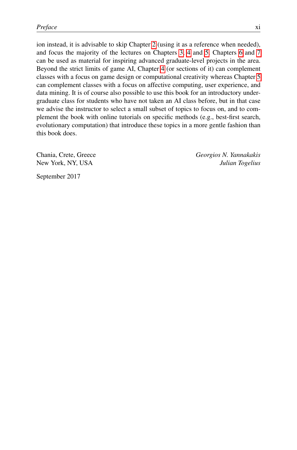ion instead, it is advisable to skip Chapter [2](#page--1-0) (using it as a reference when needed), and focus the majority of the lectures on Chapters [3, 4](#page--1-0) and [5.](#page--1-0) Chapters [6](#page--1-0) and [7](#page--1-0) can be used as material for inspiring advanced graduate-level projects in the area. Beyond the strict limits of game AI, Chapter [4](#page--1-0) (or sections of it) can complement classes with a focus on game design or computational creativity whereas Chapter [5](#page--1-0) can complement classes with a focus on affective computing, user experience, and data mining. It is of course also possible to use this book for an introductory undergraduate class for students who have not taken an AI class before, but in that case we advise the instructor to select a small subset of topics to focus on, and to complement the book with online tutorials on specific methods (e.g., best-first search, evolutionary computation) that introduce these topics in a more gentle fashion than this book does.

Chania, Crete, Greece *Georgios N. Yannakakis*

New York, NY, USA *Julian Togelius*

September 2017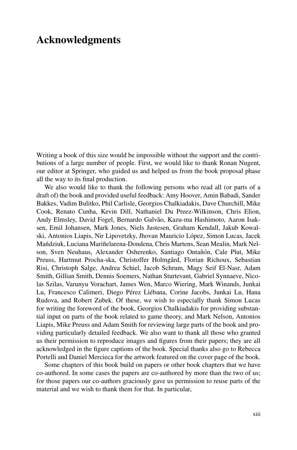#### Acknowledgments

Writing a book of this size would be impossible without the support and the contributions of a large number of people. First, we would like to thank Ronan Nugent, our editor at Springer, who guided us and helped us from the book proposal phase all the way to its final production.

We also would like to thank the following persons who read all (or parts of a draft of) the book and provided useful feedback: Amy Hoover, Amin Babadi, Sander Bakkes, Vadim Bulitko, Phil Carlisle, Georgios Chalkiadakis, Dave Churchill, Mike Cook, Renato Cunha, Kevin Dill, Nathaniel Du Preez-Wilkinson, Chris Elion, Andy Elmsley, David Fogel, Bernardo Galvão, Kazu-ma Hashimoto, Aaron Isaksen, Emil Johansen, Mark Jones, Niels Justesen, Graham Kendall, Jakub Kowalski, Antonios Liapis, Nir Lipovetzky, Jhovan Mauricio Lopez, Simon Lucas, Jacek ´ Mandziuk, Luciana Mariñelarena-Dondena, Chris Martens, Sean Mealin, Mark Nelson, Sven Neuhaus, Alexander Osherenko, Santiago Ontañón, Cale Plut, Mike Preuss, Hartmut Procha-ska, Christoffer Holmgård, Florian Richoux, Sebastian Risi, Christoph Salge, Andrea Schiel, Jacob Schrum, Magy Seif El-Nasr, Adam Smith, Gillian Smith, Dennis Soemers, Nathan Sturtevant, Gabriel Synnaeve, Nicolas Szilas, Varunyu Vorachart, James Wen, Marco Wiering, Mark Winands, Junkai Lu, Francesco Calimeri, Diego Pérez Liébana, Corine Jacobs, Junkai Lu, Hana Rudova, and Robert Zubek. Of these, we wish to especially thank Simon Lucas for writing the foreword of the book, Georgios Chalkiadakis for providing substantial input on parts of the book related to game theory, and Mark Nelson, Antonios Liapis, Mike Preuss and Adam Smith for reviewing large parts of the book and providing particularly detailed feedback. We also want to thank all those who granted us their permission to reproduce images and figures from their papers; they are all acknowledged in the figure captions of the book. Special thanks also go to Rebecca Portelli and Daniel Mercieca for the artwork featured on the cover page of the book.

Some chapters of this book build on papers or other book chapters that we have co-authored. In some cases the papers are co-authored by more than the two of us; for those papers our co-authors graciously gave us permission to reuse parts of the material and we wish to thank them for that. In particular,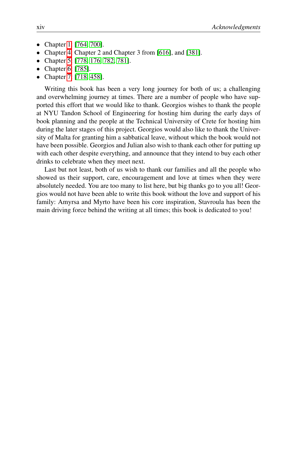- Chapter [1:](#page--1-0) [\[764,](#page--1-1) [700\]](#page--1-2).
- Chapter [4:](#page--1-0) Chapter 2 and Chapter 3 from [\[616\]](#page--1-0), and [\[381\]](#page--1-3).
- Chapter [5:](#page--1-0) [\[778,](#page--1-4) [176,](#page--1-5) [782,](#page--1-6) [781\]](#page--1-7).
- Chapter [6:](#page--1-0) [\[785\]](#page--1-8).
- Chapter [7:](#page--1-0) [\[718, 458\]](#page--1-6).

Writing this book has been a very long journey for both of us; a challenging and overwhelming journey at times. There are a number of people who have supported this effort that we would like to thank. Georgios wishes to thank the people at NYU Tandon School of Engineering for hosting him during the early days of book planning and the people at the Technical University of Crete for hosting him during the later stages of this project. Georgios would also like to thank the University of Malta for granting him a sabbatical leave, without which the book would not have been possible. Georgios and Julian also wish to thank each other for putting up with each other despite everything, and announce that they intend to buy each other drinks to celebrate when they meet next.

Last but not least, both of us wish to thank our families and all the people who showed us their support, care, encouragement and love at times when they were absolutely needed. You are too many to list here, but big thanks go to you all! Georgios would not have been able to write this book without the love and support of his family: Amyrsa and Myrto have been his core inspiration, Stavroula has been the main driving force behind the writing at all times; this book is dedicated to you!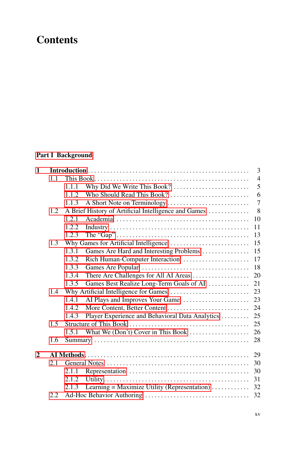## **Contents**

#### [Part I Background](#page--1-0)

| $\mathbf{1}$ |     |        |                                                                  | 3              |
|--------------|-----|--------|------------------------------------------------------------------|----------------|
|              | 1.1 |        |                                                                  | $\overline{4}$ |
|              |     | 1.1.1  | Why Did We Write This Book?                                      | 5              |
|              |     | 1.1.2  | Who Should Read This Book?                                       | 6              |
|              |     | 1.1.3  |                                                                  | $\overline{7}$ |
|              | 1.2 |        | A Brief History of Artificial Intelligence and Games             | 8              |
|              |     | 1.2.1  |                                                                  | 10             |
|              |     | 1.2.2. |                                                                  | 11             |
|              |     | 1.2.3  |                                                                  | 13             |
|              | 1.3 |        |                                                                  | 15             |
|              |     | 1.3.1  | Games Are Hard and Interesting Problems                          | 15             |
|              |     | 1.3.2  | Rich Human-Computer Interaction                                  | 17             |
|              |     | 1.3.3  |                                                                  | 18             |
|              |     | 1.3.4  | There Are Challenges for All AI Areas                            | 20             |
|              |     | 1.3.5  | Games Best Realize Long-Term Goals of AI                         | 21             |
|              | 1.4 |        |                                                                  | 23             |
|              |     | 1.4.1  | AI Plays and Improves Your Game                                  | 23             |
|              |     | 1.4.2  |                                                                  | 24             |
|              |     | 1.4.3  | Player Experience and Behavioral Data Analytics                  | 25             |
|              | 1.5 |        |                                                                  | 25             |
|              |     | 1.5.1  | What We (Don't) Cover in This Book                               | 26             |
|              | 1.6 |        |                                                                  | 28             |
| $\mathbf{2}$ |     |        |                                                                  | 29             |
|              | 2.1 |        |                                                                  | 30             |
|              |     | 2.1.1  |                                                                  | 30             |
|              |     | 2.1.2  |                                                                  | 31             |
|              |     | 2.1.3  | Learning = Maximize Utility (Representation) $\dots \dots \dots$ | 32             |
|              | 2.2 |        |                                                                  | 32             |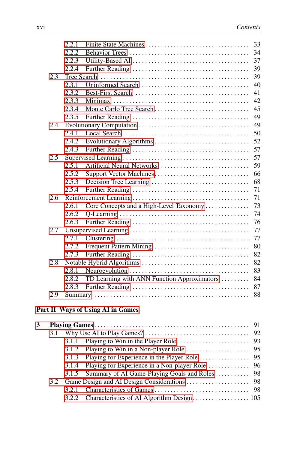|     | 2.2.1 |                                             | 33 |
|-----|-------|---------------------------------------------|----|
|     | 2.2.2 |                                             | 34 |
|     | 2.2.3 |                                             | 37 |
|     | 2.2.4 |                                             | 39 |
| 2.3 |       |                                             | 39 |
|     | 2.3.1 |                                             | 40 |
|     | 2.3.2 |                                             | 41 |
|     | 2.3.3 |                                             | 42 |
|     | 2.3.4 |                                             | 45 |
|     | 2.3.5 |                                             | 49 |
| 2.4 |       |                                             | 49 |
|     | 2.4.1 |                                             | 50 |
|     | 2.4.2 | Evolutionary Algorithms                     | 52 |
|     | 2.4.3 |                                             | 57 |
| 2.5 |       |                                             | 57 |
|     | 2.5.1 | Artificial Neural Networks                  | 59 |
|     | 2.5.2 | Support Vector Machines                     | 66 |
|     | 2.5.3 |                                             | 68 |
|     | 2.5.4 |                                             | 71 |
| 2.6 |       |                                             | 71 |
|     | 2.6.1 | Core Concepts and a High-Level Taxonomy     | 73 |
|     | 2.6.2 |                                             | 74 |
|     | 2.6.3 |                                             | 76 |
| 2.7 |       |                                             | 77 |
|     | 2.7.1 |                                             | 77 |
|     | 2.7.2 | Frequent Pattern Mining                     | 80 |
|     | 2.7.3 |                                             | 82 |
| 2.8 |       |                                             | 82 |
|     | 2.8.1 |                                             | 83 |
|     | 2.8.2 | TD Learning with ANN Function Approximators | 84 |
|     | 2.8.3 |                                             | 87 |
| 2.9 |       |                                             | 88 |

#### [Part II Ways of Using AI in Games](#page--1-0)

| 3 |       |  |
|---|-------|--|
|   |       |  |
|   |       |  |
|   |       |  |
|   |       |  |
|   |       |  |
|   |       |  |
|   |       |  |
|   | 3.2.1 |  |
|   |       |  |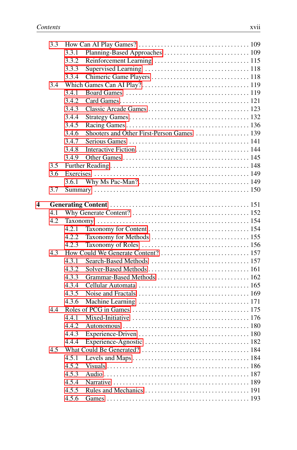|   | 3.3 |       |  |
|---|-----|-------|--|
|   |     | 3.3.1 |  |
|   |     | 3.3.2 |  |
|   |     | 3.3.3 |  |
|   |     | 3.3.4 |  |
|   | 3.4 |       |  |
|   |     | 3.4.1 |  |
|   |     | 3.4.2 |  |
|   |     | 3.4.3 |  |
|   |     | 3.4.4 |  |
|   |     | 3.4.5 |  |
|   |     | 3.4.6 |  |
|   |     | 3.4.7 |  |
|   |     | 3.4.8 |  |
|   |     | 3.4.9 |  |
|   | 3.5 |       |  |
|   | 3.6 |       |  |
|   |     | 3.6.1 |  |
|   | 3.7 |       |  |
| 4 |     |       |  |
|   | 4.1 |       |  |
|   | 4.2 |       |  |
|   |     | 4.2.1 |  |
|   |     | 4.2.2 |  |
|   |     | 4.2.3 |  |
|   | 4.3 |       |  |
|   |     | 4.3.1 |  |
|   |     | 4.3.2 |  |
|   |     | 4.3.3 |  |
|   |     | 4.3.4 |  |
|   |     | 4.3.5 |  |
|   |     | 4.3.6 |  |
|   | 4.4 |       |  |
|   |     | 4.4.1 |  |
|   |     | 4.4.2 |  |
|   |     | 4.4.3 |  |
|   |     | 4.4.4 |  |
|   | 4.5 |       |  |
|   |     | 4.5.1 |  |
|   |     | 4.5.2 |  |
|   |     | 4.5.3 |  |
|   |     | 4.5.4 |  |
|   |     | 4.5.5 |  |
|   |     | 4.5.6 |  |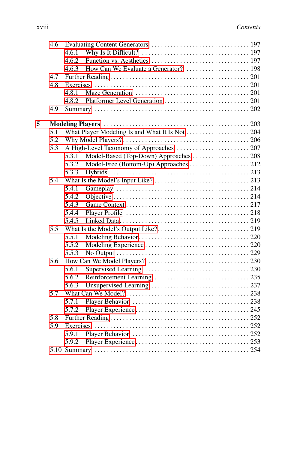|   | 4.6 |       |                                        |  |
|---|-----|-------|----------------------------------------|--|
|   |     | 4.6.1 |                                        |  |
|   |     | 4.6.2 |                                        |  |
|   |     | 4.6.3 |                                        |  |
|   | 4.7 |       |                                        |  |
|   | 4.8 |       |                                        |  |
|   |     | 4.8.1 |                                        |  |
|   |     | 4.8.2 |                                        |  |
|   | 4.9 |       |                                        |  |
| 5 |     |       |                                        |  |
|   | 5.1 |       |                                        |  |
|   | 5.2 |       |                                        |  |
|   | 5.3 |       |                                        |  |
|   |     | 5.3.1 | Model-Based (Top-Down) Approaches  208 |  |
|   |     | 5.3.2 | Model-Free (Bottom-Up) Approaches  212 |  |
|   |     | 5.3.3 |                                        |  |
|   | 5.4 |       |                                        |  |
|   |     | 5.4.1 |                                        |  |
|   |     | 5.4.2 |                                        |  |
|   |     | 5.4.3 |                                        |  |
|   |     | 5.4.4 |                                        |  |
|   |     | 5.4.5 |                                        |  |
|   | 5.5 |       |                                        |  |
|   |     | 5.5.1 |                                        |  |
|   |     | 5.5.2 |                                        |  |
|   |     | 5.5.3 |                                        |  |
|   | 5.6 |       |                                        |  |
|   |     | 5.6.1 |                                        |  |
|   |     | 5.6.2 |                                        |  |
|   |     | 5.6.3 |                                        |  |
|   | 5.7 |       |                                        |  |
|   |     | 5.7.1 |                                        |  |
|   |     | 5.7.2 |                                        |  |
|   | 5.8 |       |                                        |  |
|   | 5.9 |       |                                        |  |
|   |     | 5.9.1 |                                        |  |
|   |     | 5.9.2 |                                        |  |
|   |     |       |                                        |  |
|   |     |       |                                        |  |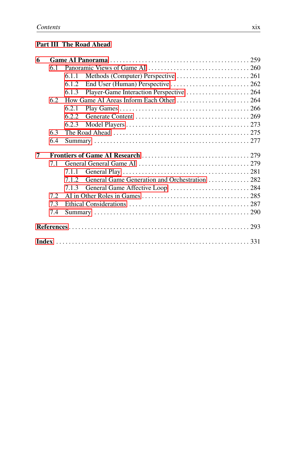#### [Part III The Road Ahead](#page--1-0)

| 6 |     |       |                                                |
|---|-----|-------|------------------------------------------------|
|   | 6.1 |       |                                                |
|   |     | 6.1.1 |                                                |
|   |     | 6.1.2 |                                                |
|   |     | 6.1.3 |                                                |
|   | 6.2 |       |                                                |
|   |     | 6.2.1 |                                                |
|   |     | 6.2.2 |                                                |
|   |     | 6.2.3 |                                                |
|   | 6.3 |       |                                                |
|   | 6.4 |       |                                                |
| 7 |     |       |                                                |
|   | 7.1 |       |                                                |
|   |     | 7.1.1 |                                                |
|   |     | 712   | General Game Generation and Orchestration  282 |
|   |     | 7.1.3 |                                                |
|   | 7.2 |       |                                                |
|   | 7.3 |       |                                                |
|   | 7.4 |       |                                                |
|   |     |       |                                                |
|   |     |       |                                                |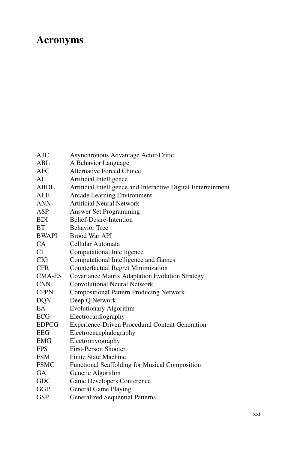## Acronyms

| A3C          | Asynchronous Advantage Actor-Critic                           |
|--------------|---------------------------------------------------------------|
| <b>ABL</b>   | A Behavior Language                                           |
| <b>AFC</b>   | Alternative Forced Choice                                     |
| AI           | Artificial Intelligence                                       |
| <b>AIIDE</b> | Artificial Intelligence and Interactive Digital Entertainment |
| <b>ALE</b>   | <b>Arcade Learning Environment</b>                            |
| <b>ANN</b>   | <b>Artificial Neural Network</b>                              |
| ASP          | <b>Answer Set Programming</b>                                 |
| <b>BDI</b>   | Belief-Desire-Intention                                       |
| <b>BT</b>    | <b>Behavior</b> Tree                                          |
| <b>BWAPI</b> | Brood War API                                                 |
| <b>CA</b>    | Cellular Automata                                             |
| CI           | Computational Intelligence                                    |
| <b>CIG</b>   | Computational Intelligence and Games                          |
| <b>CFR</b>   | Counterfactual Regret Minimization                            |
| CMA-ES       | Covariance Matrix Adaptation Evolution Strategy               |
| <b>CNN</b>   | <b>Convolutional Neural Network</b>                           |
| <b>CPPN</b>  | <b>Compositional Pattern Producing Network</b>                |
| <b>DQN</b>   | Deep Q Network                                                |
| EA           | <b>Evolutionary Algorithm</b>                                 |
| <b>ECG</b>   | Electrocardiography                                           |
| <b>EDPCG</b> | Experience-Driven Procedural Content Generation               |
| <b>EEG</b>   | Electroencephalography                                        |
| EMG          | Electromyography                                              |
| <b>FPS</b>   | <b>First-Person Shooter</b>                                   |
| <b>FSM</b>   | <b>Finite State Machine</b>                                   |
| <b>FSMC</b>  | Functional Scaffolding for Musical Composition                |
| <b>GA</b>    | Genetic Algorithm                                             |
| GDC          | <b>Game Developers Conference</b>                             |
| GGP          | General Game Playing                                          |
| <b>GSP</b>   | <b>Generalized Sequential Patterns</b>                        |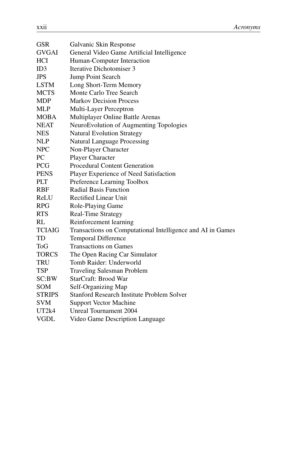| <b>GSR</b>    | Galvanic Skin Response                                     |
|---------------|------------------------------------------------------------|
| <b>GVGAI</b>  | General Video Game Artificial Intelligence                 |
| HCI           | Human-Computer Interaction                                 |
| ID3           | Iterative Dichotomiser 3                                   |
| <b>JPS</b>    | Jump Point Search                                          |
| <b>LSTM</b>   | Long Short-Term Memory                                     |
| <b>MCTS</b>   | Monte Carlo Tree Search                                    |
| <b>MDP</b>    | <b>Markov Decision Process</b>                             |
| <b>MLP</b>    | Multi-Layer Perceptron                                     |
| <b>MOBA</b>   | Multiplayer Online Battle Arenas                           |
| <b>NEAT</b>   | NeuroEvolution of Augmenting Topologies                    |
| <b>NES</b>    | <b>Natural Evolution Strategy</b>                          |
| <b>NLP</b>    | <b>Natural Language Processing</b>                         |
| <b>NPC</b>    | Non-Player Character                                       |
| PC            | Player Character                                           |
| <b>PCG</b>    | <b>Procedural Content Generation</b>                       |
| <b>PENS</b>   | Player Experience of Need Satisfaction                     |
| <b>PLT</b>    | Preference Learning Toolbox                                |
| <b>RBF</b>    | <b>Radial Basis Function</b>                               |
| ReLU          | <b>Rectified Linear Unit</b>                               |
| <b>RPG</b>    | Role-Playing Game                                          |
| <b>RTS</b>    | <b>Real-Time Strategy</b>                                  |
| RL            | Reinforcement learning                                     |
| <b>TCIAIG</b> | Transactions on Computational Intelligence and AI in Games |
| TD            | <b>Temporal Difference</b>                                 |
| <b>ToG</b>    | <b>Transactions on Games</b>                               |
| <b>TORCS</b>  | The Open Racing Car Simulator                              |
| TRU           | Tomb Raider: Underworld                                    |
| <b>TSP</b>    | <b>Traveling Salesman Problem</b>                          |
| SC:BW         | StarCraft: Brood War                                       |
| <b>SOM</b>    | Self-Organizing Map                                        |
| <b>STRIPS</b> | <b>Stanford Research Institute Problem Solver</b>          |
| <b>SVM</b>    | <b>Support Vector Machine</b>                              |
| UT2k4         | Unreal Tournament 2004                                     |
| VGDL          | Video Game Description Language                            |